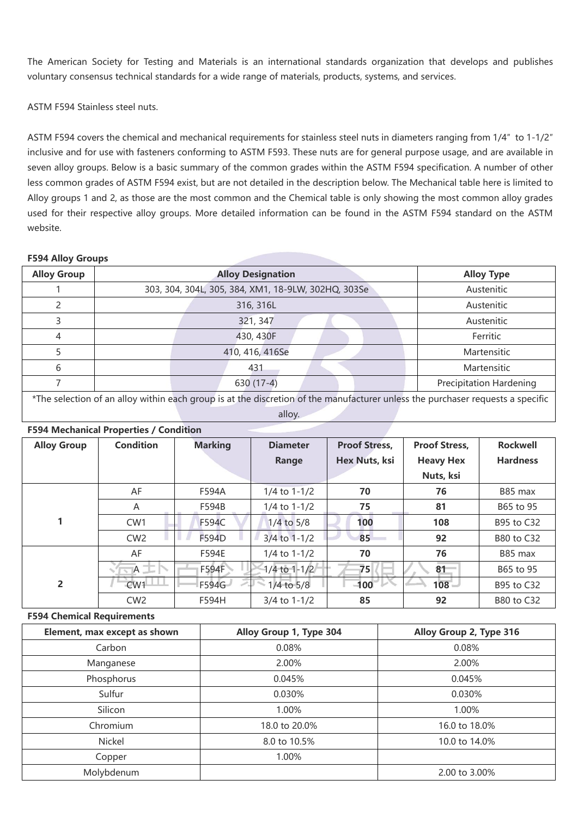The American Society for Testing and Materials is an international standards organization that develops and publishes voluntary consensus technical standards for a wide range of materials, products, systems, and services.

ASTM F594 Stainless steel nuts.

ASTM F594 covers the chemical and mechanical requirements for stainless steel nuts in diameters ranging from 1/4″ to 1-1/2″ inclusive and for use with fasteners conforming to ASTM F593. These nuts are for general purpose usage, and are available in seven alloy groups. Below is a basic summary of the common grades within the ASTM F594 specification. A number of other less common grades of ASTM F594 exist, but are not detailed in the description below. The Mechanical table here is limited to Alloy groups 1 and 2, as those are the most common and the Chemical table is only showing the most common alloy grades used for their respective alloy groups. More detailed information can be found in the ASTM F594 standard on the ASTM website.

## **F594 Alloy Groups**

| <b>Alloy Group</b> | <b>Alloy Designation</b>                            | <b>Alloy Type</b>              |
|--------------------|-----------------------------------------------------|--------------------------------|
|                    | 303, 304, 304L, 305, 384, XM1, 18-9LW, 302HQ, 303Se | Austenitic                     |
|                    | 316, 316L                                           | Austenitic                     |
|                    | 321, 347                                            | Austenitic                     |
|                    | 430, 430F                                           | Ferritic                       |
|                    | 410, 416, 416Se                                     | Martensitic                    |
| 6                  | 431                                                 | Martensitic                    |
|                    | 630 (17-4)                                          | <b>Precipitation Hardening</b> |
|                    |                                                     |                                |

\*The selection of an alloy within each group is at the discretion of the manufacturer unless the purchaser requests a specific alloy.

| <b>F594 Mechanical Properties / Condition</b> |                  |                |                  |                      |                      |                   |
|-----------------------------------------------|------------------|----------------|------------------|----------------------|----------------------|-------------------|
| <b>Alloy Group</b>                            | <b>Condition</b> | <b>Marking</b> | <b>Diameter</b>  | <b>Proof Stress,</b> | <b>Proof Stress,</b> | <b>Rockwell</b>   |
|                                               |                  |                | Range            | Hex Nuts, ksi        | <b>Heavy Hex</b>     | <b>Hardness</b>   |
|                                               |                  |                |                  |                      | Nuts, ksi            |                   |
|                                               | AF               | F594A          | $1/4$ to $1-1/2$ | 70                   | 76                   | B85 max           |
|                                               | A                | F594B          | $1/4$ to $1-1/2$ | 75                   | 81                   | B65 to 95         |
|                                               | CW <sub>1</sub>  | <b>F594C</b>   | $1/4$ to $5/8$   | 100                  | 108                  | B95 to C32        |
|                                               | CW <sub>2</sub>  | F594D          | 3/4 to 1-1/2     | 85                   | 92                   | <b>B80 to C32</b> |
|                                               | AF               | F594E          | $1/4$ to $1-1/2$ | 70                   | 76                   | B85 max           |
|                                               | $A \rightarrow$  | F594F          | 1/4 to 1-1/2     | 75                   | 81                   | B65 to 95         |
| $\overline{2}$                                | CW <sub>1</sub>  | F594G          | 1/4 to 5/8       | $100-1$              | $108 -$              | B95 to C32        |
|                                               | CW <sub>2</sub>  | F594H          | 3/4 to 1-1/2     | 85                   | 92                   | <b>B80 to C32</b> |

## **F594 Chemical Requirements**

| Element, max except as shown | Alloy Group 1, Type 304 | Alloy Group 2, Type 316 |  |
|------------------------------|-------------------------|-------------------------|--|
| Carbon                       | 0.08%                   | 0.08%                   |  |
| Manganese                    | 2.00%                   | 2.00%                   |  |
| Phosphorus                   | 0.045%<br>0.045%        |                         |  |
| Sulfur                       | 0.030%                  | 0.030%                  |  |
| Silicon                      | 1.00%                   | 1.00%                   |  |
| Chromium                     | 18.0 to 20.0%           | 16.0 to 18.0%           |  |
| Nickel                       | 8.0 to 10.5%            | 10.0 to 14.0%           |  |
| Copper                       | 1.00%                   |                         |  |
| Molybdenum                   |                         | 2.00 to 3.00%           |  |